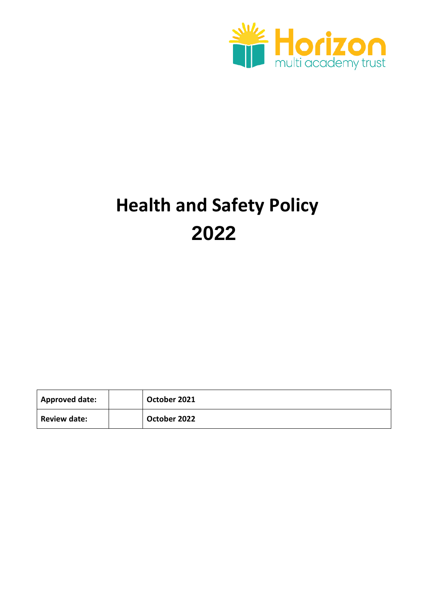

# **Health and Safety Policy 2022**

| Approved date:      | October 2021 |
|---------------------|--------------|
| <b>Review date:</b> | October 2022 |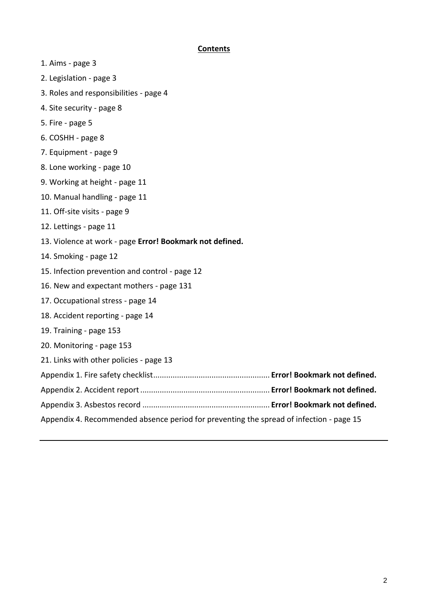## **Contents**

- 1. Aims page 3
- 2. Legislation page 3
- 3. Roles and responsibilities page 4
- 4. Site security page 8
- 5. Fire page 5
- 6. COSHH page 8
- 7. Equipment page 9
- 8. Lone working page 10
- 9. Working at height page 11
- 10. Manual handling page 11
- 11. Off-site visits page 9
- 12. Lettings page 11
- 13. Violence at work page **Error! Bookmark not defined.**
- 14. Smoking page 12
- 15. Infection prevention and control page 12
- 16. New and expectant mothers page 131
- 17. Occupational stress page 14
- 18. Accident reporting page 14
- 19. Training page 153
- 20. Monitoring page 153
- 21. Links with other policies page 13
- Appendix 1. Fire safety checklist...................................................... **Error! Bookmark not defined.**
- Appendix 2. Accident report............................................................ **Error! Bookmark not defined.**
- Appendix 3. Asbestos record ........................................................... **Error! Bookmark not defined.**
- Appendix 4. Recommended absence period for preventing the spread of infection page 15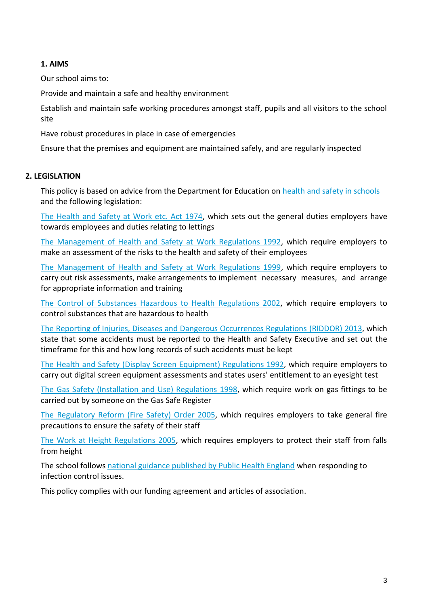# **1. AIMS**

Our school aims to:

Provide and maintain a safe and healthy environment

Establish and maintain safe working procedures amongst staff, pupils and all visitors to the school site

Have robust procedures in place in case of emergencies

Ensure that the premises and equipment are maintained safely, and are regularly inspected

## **2. LEGISLATION**

This policy is based on advice from the Department for Education on [health and safety in schools](https://www.gov.uk/government/publications/health-and-safety-advice-for-schools) and the following legislation:

[The Health and Safety at Work etc. Act 1974,](http://www.legislation.gov.uk/ukpga/1974/37) which sets out the general duties employers have towards employees and duties relating to lettings

[The Management of Health and Safety at Work Regulations 1992,](http://www.legislation.gov.uk/uksi/1992/2051/regulation/3/made) which require employers to make an assessment of the risks to the health and safety of their employees

[The Management of Health and Safety at Work Regulations 1999,](http://www.legislation.gov.uk/uksi/1999/3242/contents/made) which require employers to carry out risk assessments, make arrangements to implement necessary measures, and arrange for appropriate information and training

[The Control of Substances Hazardous to Health Regulations 2002,](http://www.legislation.gov.uk/uksi/2002/2677/contents/made) which require employers to control substances that are hazardous to health

[The Reporting of Injuries, Diseases and Dangerous Occurrences Regulations](http://www.legislation.gov.uk/uksi/2013/1471/schedule/1/paragraph/1/made) (RIDDOR) 2013, which state that some accidents must be reported to the Health and Safety Executive and set out the timeframe for this and how long records of such accidents must be kept

[The Health and Safety \(Display Screen Equipment\) Regulations 1992,](http://www.legislation.gov.uk/uksi/1992/2792/contents/made) which require employers to carry out digital screen equipment assessments and states users' entitlement to an eyesight test

[The Gas Safety \(Installation and Use\) Regulations 1998,](http://www.legislation.gov.uk/uksi/1998/2451/regulation/4/made) which require work on gas fittings to be carried out by someone on the Gas Safe Register

[The Regulatory Reform \(Fire Safety\) Order 2005,](http://www.legislation.gov.uk/uksi/2005/1541/part/2/made) which requires employers to take general fire precautions to ensure the safety of their staff

[The Work at Height Regulations 2005,](http://www.legislation.gov.uk/uksi/2005/735/contents/made) which requires employers to protect their staff from falls from height

The school follows [national guidance published by Public Health England](https://www.gov.uk/government/uploads/system/uploads/attachment_data/file/522337/Guidance_on_infection_control_in_schools.pdf) when responding to infection control issues.

This policy complies with our funding agreement and articles of association.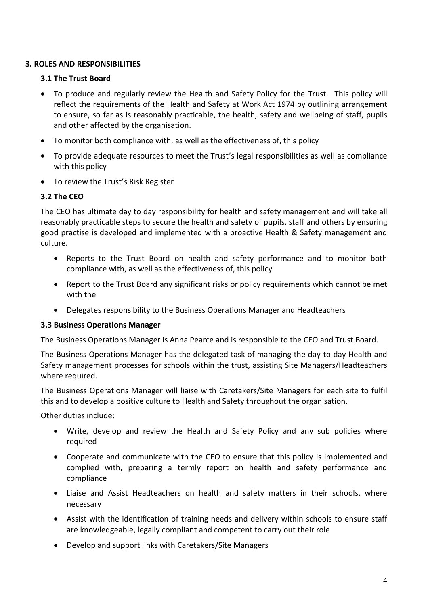# **3. ROLES AND RESPONSIBILITIES**

## **3.1 The Trust Board**

- To produce and regularly review the Health and Safety Policy for the Trust. This policy will reflect the requirements of the Health and Safety at Work Act 1974 by outlining arrangement to ensure, so far as is reasonably practicable, the health, safety and wellbeing of staff, pupils and other affected by the organisation.
- To monitor both compliance with, as well as the effectiveness of, this policy
- To provide adequate resources to meet the Trust's legal responsibilities as well as compliance with this policy
- To review the Trust's Risk Register

# **3.2 The CEO**

The CEO has ultimate day to day responsibility for health and safety management and will take all reasonably practicable steps to secure the health and safety of pupils, staff and others by ensuring good practise is developed and implemented with a proactive Health & Safety management and culture.

- Reports to the Trust Board on health and safety performance and to monitor both compliance with, as well as the effectiveness of, this policy
- Report to the Trust Board any significant risks or policy requirements which cannot be met with the
- Delegates responsibility to the Business Operations Manager and Headteachers

## **3.3 Business Operations Manager**

The Business Operations Manager is Anna Pearce and is responsible to the CEO and Trust Board.

The Business Operations Manager has the delegated task of managing the day-to-day Health and Safety management processes for schools within the trust, assisting Site Managers/Headteachers where required.

The Business Operations Manager will liaise with Caretakers/Site Managers for each site to fulfil this and to develop a positive culture to Health and Safety throughout the organisation.

Other duties include:

- Write, develop and review the Health and Safety Policy and any sub policies where required
- Cooperate and communicate with the CEO to ensure that this policy is implemented and complied with, preparing a termly report on health and safety performance and compliance
- Liaise and Assist Headteachers on health and safety matters in their schools, where necessary
- Assist with the identification of training needs and delivery within schools to ensure staff are knowledgeable, legally compliant and competent to carry out their role
- Develop and support links with Caretakers/Site Managers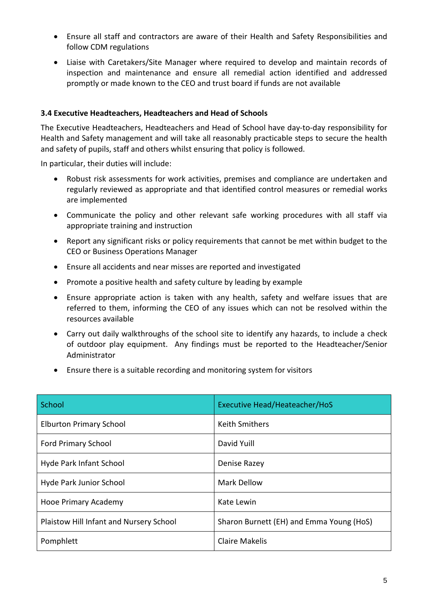- Ensure all staff and contractors are aware of their Health and Safety Responsibilities and follow CDM regulations
- Liaise with Caretakers/Site Manager where required to develop and maintain records of inspection and maintenance and ensure all remedial action identified and addressed promptly or made known to the CEO and trust board if funds are not available

## **3.4 Executive Headteachers, Headteachers and Head of Schools**

The Executive Headteachers, Headteachers and Head of School have day-to-day responsibility for Health and Safety management and will take all reasonably practicable steps to secure the health and safety of pupils, staff and others whilst ensuring that policy is followed.

In particular, their duties will include:

- Robust risk assessments for work activities, premises and compliance are undertaken and regularly reviewed as appropriate and that identified control measures or remedial works are implemented
- Communicate the policy and other relevant safe working procedures with all staff via appropriate training and instruction
- Report any significant risks or policy requirements that cannot be met within budget to the CEO or Business Operations Manager
- Ensure all accidents and near misses are reported and investigated
- Promote a positive health and safety culture by leading by example
- Ensure appropriate action is taken with any health, safety and welfare issues that are referred to them, informing the CEO of any issues which can not be resolved within the resources available
- Carry out daily walkthroughs of the school site to identify any hazards, to include a check of outdoor play equipment. Any findings must be reported to the Headteacher/Senior Administrator
- Ensure there is a suitable recording and monitoring system for visitors

| School                                  | <b>Executive Head/Heateacher/HoS</b>     |
|-----------------------------------------|------------------------------------------|
| <b>Elburton Primary School</b>          | <b>Keith Smithers</b>                    |
| <b>Ford Primary School</b>              | David Yuill                              |
| Hyde Park Infant School                 | Denise Razey                             |
| Hyde Park Junior School                 | <b>Mark Dellow</b>                       |
| Hooe Primary Academy                    | Kate Lewin                               |
| Plaistow Hill Infant and Nursery School | Sharon Burnett (EH) and Emma Young (HoS) |
| Pomphlett                               | <b>Claire Makelis</b>                    |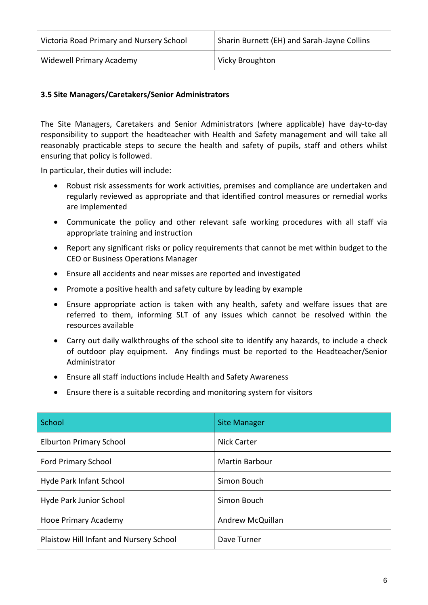| Victoria Road Primary and Nursery School | Sharin Burnett (EH) and Sarah-Jayne Collins |
|------------------------------------------|---------------------------------------------|
| Widewell Primary Academy                 | Vicky Broughton                             |

## **3.5 Site Managers/Caretakers/Senior Administrators**

The Site Managers, Caretakers and Senior Administrators (where applicable) have day-to-day responsibility to support the headteacher with Health and Safety management and will take all reasonably practicable steps to secure the health and safety of pupils, staff and others whilst ensuring that policy is followed.

In particular, their duties will include:

- Robust risk assessments for work activities, premises and compliance are undertaken and regularly reviewed as appropriate and that identified control measures or remedial works are implemented
- Communicate the policy and other relevant safe working procedures with all staff via appropriate training and instruction
- Report any significant risks or policy requirements that cannot be met within budget to the CEO or Business Operations Manager
- Ensure all accidents and near misses are reported and investigated
- Promote a positive health and safety culture by leading by example
- Ensure appropriate action is taken with any health, safety and welfare issues that are referred to them, informing SLT of any issues which cannot be resolved within the resources available
- Carry out daily walkthroughs of the school site to identify any hazards, to include a check of outdoor play equipment. Any findings must be reported to the Headteacher/Senior Administrator
- Ensure all staff inductions include Health and Safety Awareness
- Ensure there is a suitable recording and monitoring system for visitors

| School                                  | <b>Site Manager</b>   |
|-----------------------------------------|-----------------------|
| <b>Elburton Primary School</b>          | <b>Nick Carter</b>    |
| <b>Ford Primary School</b>              | <b>Martin Barbour</b> |
| Hyde Park Infant School                 | Simon Bouch           |
| Hyde Park Junior School                 | Simon Bouch           |
| Hooe Primary Academy                    | Andrew McQuillan      |
| Plaistow Hill Infant and Nursery School | Dave Turner           |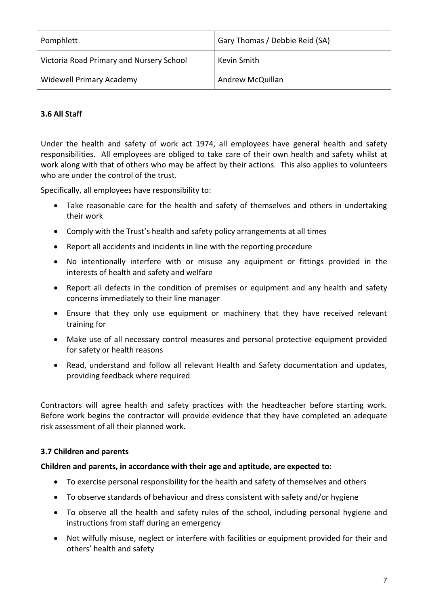| Pomphlett                                | Gary Thomas / Debbie Reid (SA) |
|------------------------------------------|--------------------------------|
| Victoria Road Primary and Nursery School | Kevin Smith                    |
| <b>Widewell Primary Academy</b>          | Andrew McQuillan               |

# **3.6 All Staff**

Under the health and safety of work act 1974, all employees have general health and safety responsibilities. All employees are obliged to take care of their own health and safety whilst at work along with that of others who may be affect by their actions. This also applies to volunteers who are under the control of the trust.

Specifically, all employees have responsibility to:

- Take reasonable care for the health and safety of themselves and others in undertaking their work
- Comply with the Trust's health and safety policy arrangements at all times
- Report all accidents and incidents in line with the reporting procedure
- No intentionally interfere with or misuse any equipment or fittings provided in the interests of health and safety and welfare
- Report all defects in the condition of premises or equipment and any health and safety concerns immediately to their line manager
- Ensure that they only use equipment or machinery that they have received relevant training for
- Make use of all necessary control measures and personal protective equipment provided for safety or health reasons
- Read, understand and follow all relevant Health and Safety documentation and updates, providing feedback where required

Contractors will agree health and safety practices with the headteacher before starting work. Before work begins the contractor will provide evidence that they have completed an adequate risk assessment of all their planned work.

## **3.7 Children and parents**

## **Children and parents, in accordance with their age and aptitude, are expected to:**

- To exercise personal responsibility for the health and safety of themselves and others
- To observe standards of behaviour and dress consistent with safety and/or hygiene
- To observe all the health and safety rules of the school, including personal hygiene and instructions from staff during an emergency
- Not wilfully misuse, neglect or interfere with facilities or equipment provided for their and others' health and safety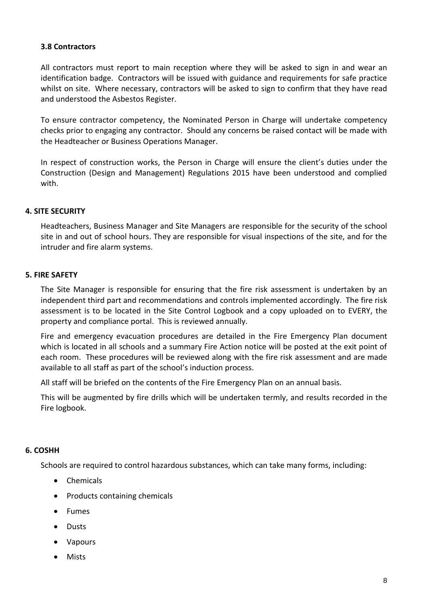## **3.8 Contractors**

All contractors must report to main reception where they will be asked to sign in and wear an identification badge. Contractors will be issued with guidance and requirements for safe practice whilst on site. Where necessary, contractors will be asked to sign to confirm that they have read and understood the Asbestos Register.

To ensure contractor competency, the Nominated Person in Charge will undertake competency checks prior to engaging any contractor. Should any concerns be raised contact will be made with the Headteacher or Business Operations Manager.

In respect of construction works, the Person in Charge will ensure the client's duties under the Construction (Design and Management) Regulations 2015 have been understood and complied with.

## **4. SITE SECURITY**

Headteachers, Business Manager and Site Managers are responsible for the security of the school site in and out of school hours. They are responsible for visual inspections of the site, and for the intruder and fire alarm systems.

## **5. FIRE SAFETY**

The Site Manager is responsible for ensuring that the fire risk assessment is undertaken by an independent third part and recommendations and controls implemented accordingly. The fire risk assessment is to be located in the Site Control Logbook and a copy uploaded on to EVERY, the property and compliance portal. This is reviewed annually.

Fire and emergency evacuation procedures are detailed in the Fire Emergency Plan document which is located in all schools and a summary Fire Action notice will be posted at the exit point of each room. These procedures will be reviewed along with the fire risk assessment and are made available to all staff as part of the school's induction process.

All staff will be briefed on the contents of the Fire Emergency Plan on an annual basis.

This will be augmented by fire drills which will be undertaken termly, and results recorded in the Fire logbook.

#### **6. COSHH**

Schools are required to control hazardous substances, which can take many forms, including:

- Chemicals
- Products containing chemicals
- Fumes
- Dusts
- Vapours
- Mists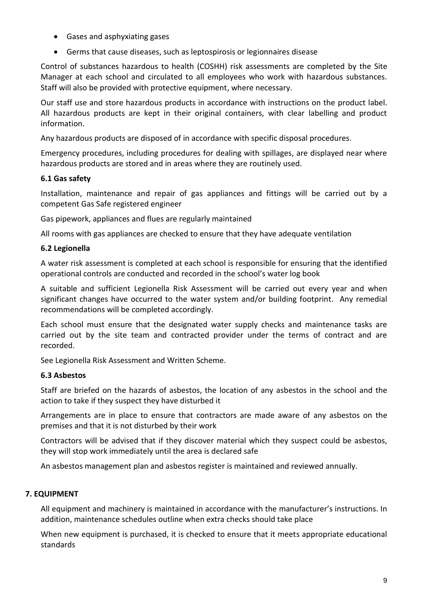- Gases and asphyxiating gases
- Germs that cause diseases, such as leptospirosis or legionnaires disease

Control of substances hazardous to health (COSHH) risk assessments are completed by the Site Manager at each school and circulated to all employees who work with hazardous substances. Staff will also be provided with protective equipment, where necessary.

Our staff use and store hazardous products in accordance with instructions on the product label. All hazardous products are kept in their original containers, with clear labelling and product information.

Any hazardous products are disposed of in accordance with specific disposal procedures.

Emergency procedures, including procedures for dealing with spillages, are displayed near where hazardous products are stored and in areas where they are routinely used.

## **6.1 Gas safety**

Installation, maintenance and repair of gas appliances and fittings will be carried out by a competent Gas Safe registered engineer

Gas pipework, appliances and flues are regularly maintained

All rooms with gas appliances are checked to ensure that they have adequate ventilation

# **6.2 Legionella**

A water risk assessment is completed at each school is responsible for ensuring that the identified operational controls are conducted and recorded in the school's water log book

A suitable and sufficient Legionella Risk Assessment will be carried out every year and when significant changes have occurred to the water system and/or building footprint. Any remedial recommendations will be completed accordingly.

Each school must ensure that the designated water supply checks and maintenance tasks are carried out by the site team and contracted provider under the terms of contract and are recorded.

See Legionella Risk Assessment and Written Scheme.

## **6.3 Asbestos**

Staff are briefed on the hazards of asbestos, the location of any asbestos in the school and the action to take if they suspect they have disturbed it

Arrangements are in place to ensure that contractors are made aware of any asbestos on the premises and that it is not disturbed by their work

Contractors will be advised that if they discover material which they suspect could be asbestos, they will stop work immediately until the area is declared safe

An asbestos management plan and asbestos register is maintained and reviewed annually.

## **7. EQUIPMENT**

All equipment and machinery is maintained in accordance with the manufacturer's instructions. In addition, maintenance schedules outline when extra checks should take place

When new equipment is purchased, it is checked to ensure that it meets appropriate educational standards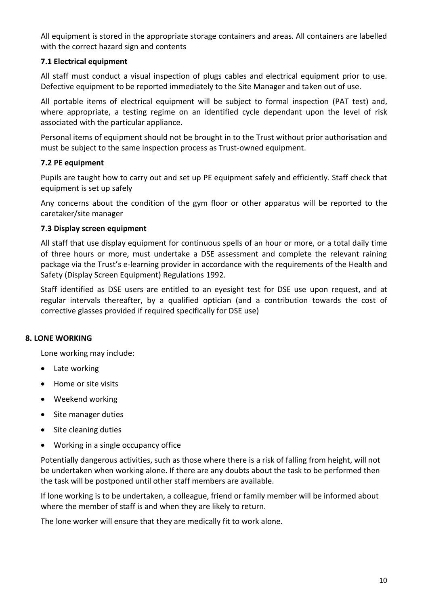All equipment is stored in the appropriate storage containers and areas. All containers are labelled with the correct hazard sign and contents

# **7.1 Electrical equipment**

All staff must conduct a visual inspection of plugs cables and electrical equipment prior to use. Defective equipment to be reported immediately to the Site Manager and taken out of use.

All portable items of electrical equipment will be subject to formal inspection (PAT test) and, where appropriate, a testing regime on an identified cycle dependant upon the level of risk associated with the particular appliance.

Personal items of equipment should not be brought in to the Trust without prior authorisation and must be subject to the same inspection process as Trust-owned equipment.

## **7.2 PE equipment**

Pupils are taught how to carry out and set up PE equipment safely and efficiently. Staff check that equipment is set up safely

Any concerns about the condition of the gym floor or other apparatus will be reported to the caretaker/site manager

## **7.3 Display screen equipment**

All staff that use display equipment for continuous spells of an hour or more, or a total daily time of three hours or more, must undertake a DSE assessment and complete the relevant raining package via the Trust's e-learning provider in accordance with the requirements of the Health and Safety (Display Screen Equipment) Regulations 1992.

Staff identified as DSE users are entitled to an eyesight test for DSE use upon request, and at regular intervals thereafter, by a qualified optician (and a contribution towards the cost of corrective glasses provided if required specifically for DSE use)

## **8. LONE WORKING**

Lone working may include:

- Late working
- Home or site visits
- Weekend working
- Site manager duties
- Site cleaning duties
- Working in a single occupancy office

Potentially dangerous activities, such as those where there is a risk of falling from height, will not be undertaken when working alone. If there are any doubts about the task to be performed then the task will be postponed until other staff members are available.

If lone working is to be undertaken, a colleague, friend or family member will be informed about where the member of staff is and when they are likely to return.

The lone worker will ensure that they are medically fit to work alone.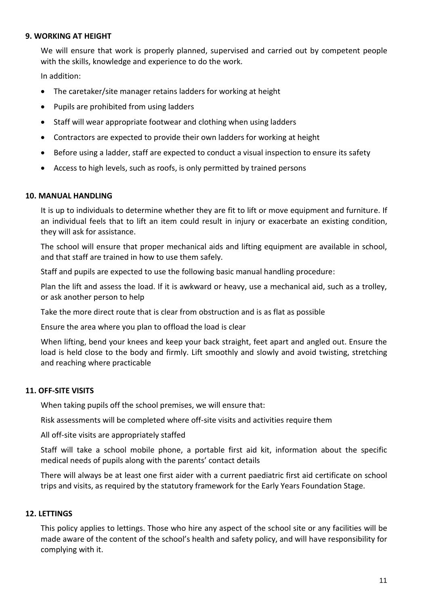#### **9. WORKING AT HEIGHT**

We will ensure that work is properly planned, supervised and carried out by competent people with the skills, knowledge and experience to do the work.

In addition:

- The caretaker/site manager retains ladders for working at height
- Pupils are prohibited from using ladders
- Staff will wear appropriate footwear and clothing when using ladders
- Contractors are expected to provide their own ladders for working at height
- Before using a ladder, staff are expected to conduct a visual inspection to ensure its safety
- Access to high levels, such as roofs, is only permitted by trained persons

#### **10. MANUAL HANDLING**

It is up to individuals to determine whether they are fit to lift or move equipment and furniture. If an individual feels that to lift an item could result in injury or exacerbate an existing condition, they will ask for assistance.

The school will ensure that proper mechanical aids and lifting equipment are available in school, and that staff are trained in how to use them safely.

Staff and pupils are expected to use the following basic manual handling procedure:

Plan the lift and assess the load. If it is awkward or heavy, use a mechanical aid, such as a trolley, or ask another person to help

Take the more direct route that is clear from obstruction and is as flat as possible

Ensure the area where you plan to offload the load is clear

When lifting, bend your knees and keep your back straight, feet apart and angled out. Ensure the load is held close to the body and firmly. Lift smoothly and slowly and avoid twisting, stretching and reaching where practicable

#### **11. OFF-SITE VISITS**

When taking pupils off the school premises, we will ensure that:

Risk assessments will be completed where off-site visits and activities require them

All off-site visits are appropriately staffed

Staff will take a school mobile phone, a portable first aid kit, information about the specific medical needs of pupils along with the parents' contact details

There will always be at least one first aider with a current paediatric first aid certificate on school trips and visits, as required by the statutory framework for the Early Years Foundation Stage.

#### **12. LETTINGS**

This policy applies to lettings. Those who hire any aspect of the school site or any facilities will be made aware of the content of the school's health and safety policy, and will have responsibility for complying with it.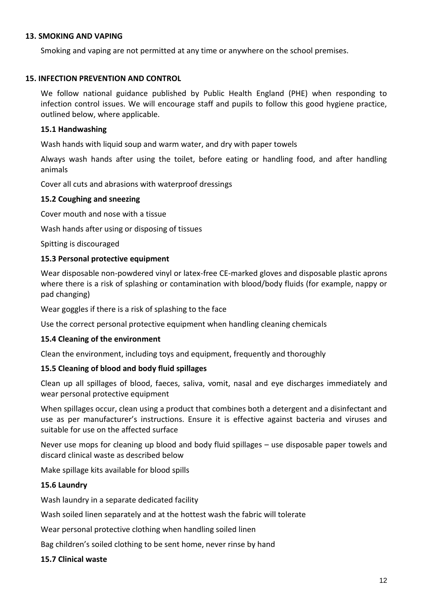#### **13. SMOKING AND VAPING**

Smoking and vaping are not permitted at any time or anywhere on the school premises.

## **15. INFECTION PREVENTION AND CONTROL**

We follow national guidance published by Public Health England (PHE) when responding to infection control issues. We will encourage staff and pupils to follow this good hygiene practice, outlined below, where applicable.

## **15.1 Handwashing**

Wash hands with liquid soup and warm water, and dry with paper towels

Always wash hands after using the toilet, before eating or handling food, and after handling animals

Cover all cuts and abrasions with waterproof dressings

## **15.2 Coughing and sneezing**

Cover mouth and nose with a tissue

Wash hands after using or disposing of tissues

Spitting is discouraged

## **15.3 Personal protective equipment**

Wear disposable non-powdered vinyl or latex-free CE-marked gloves and disposable plastic aprons where there is a risk of splashing or contamination with blood/body fluids (for example, nappy or pad changing)

Wear goggles if there is a risk of splashing to the face

Use the correct personal protective equipment when handling cleaning chemicals

## **15.4 Cleaning of the environment**

Clean the environment, including toys and equipment, frequently and thoroughly

## **15.5 Cleaning of blood and body fluid spillages**

Clean up all spillages of blood, faeces, saliva, vomit, nasal and eye discharges immediately and wear personal protective equipment

When spillages occur, clean using a product that combines both a detergent and a disinfectant and use as per manufacturer's instructions. Ensure it is effective against bacteria and viruses and suitable for use on the affected surface

Never use mops for cleaning up blood and body fluid spillages – use disposable paper towels and discard clinical waste as described below

Make spillage kits available for blood spills

## **15.6 Laundry**

Wash laundry in a separate dedicated facility

Wash soiled linen separately and at the hottest wash the fabric will tolerate

Wear personal protective clothing when handling soiled linen

Bag children's soiled clothing to be sent home, never rinse by hand

#### **15.7 Clinical waste**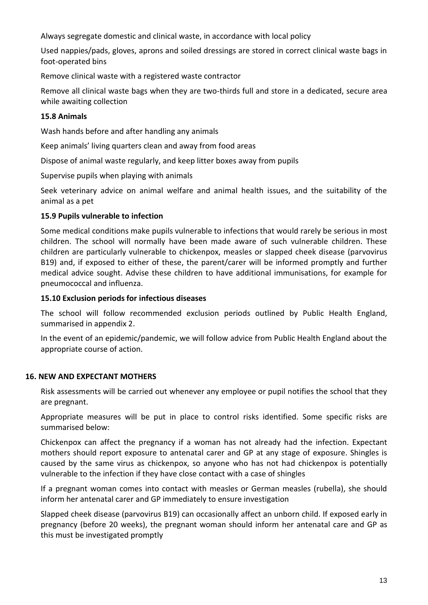Always segregate domestic and clinical waste, in accordance with local policy

Used nappies/pads, gloves, aprons and soiled dressings are stored in correct clinical waste bags in foot-operated bins

Remove clinical waste with a registered waste contractor

Remove all clinical waste bags when they are two-thirds full and store in a dedicated, secure area while awaiting collection

## **15.8 Animals**

Wash hands before and after handling any animals

Keep animals' living quarters clean and away from food areas

Dispose of animal waste regularly, and keep litter boxes away from pupils

Supervise pupils when playing with animals

Seek veterinary advice on animal welfare and animal health issues, and the suitability of the animal as a pet

## **15.9 Pupils vulnerable to infection**

Some medical conditions make pupils vulnerable to infections that would rarely be serious in most children. The school will normally have been made aware of such vulnerable children. These children are particularly vulnerable to chickenpox, measles or slapped cheek disease (parvovirus B19) and, if exposed to either of these, the parent/carer will be informed promptly and further medical advice sought. Advise these children to have additional immunisations, for example for pneumococcal and influenza.

#### **15.10 Exclusion periods for infectious diseases**

The school will follow recommended exclusion periods outlined by Public Health England, summarised in appendix 2.

In the event of an epidemic/pandemic, we will follow advice from Public Health England about the appropriate course of action.

#### **16. NEW AND EXPECTANT MOTHERS**

Risk assessments will be carried out whenever any employee or pupil notifies the school that they are pregnant.

Appropriate measures will be put in place to control risks identified. Some specific risks are summarised below:

Chickenpox can affect the pregnancy if a woman has not already had the infection. Expectant mothers should report exposure to antenatal carer and GP at any stage of exposure. Shingles is caused by the same virus as chickenpox, so anyone who has not had chickenpox is potentially vulnerable to the infection if they have close contact with a case of shingles

If a pregnant woman comes into contact with measles or German measles (rubella), she should inform her antenatal carer and GP immediately to ensure investigation

Slapped cheek disease (parvovirus B19) can occasionally affect an unborn child. If exposed early in pregnancy (before 20 weeks), the pregnant woman should inform her antenatal care and GP as this must be investigated promptly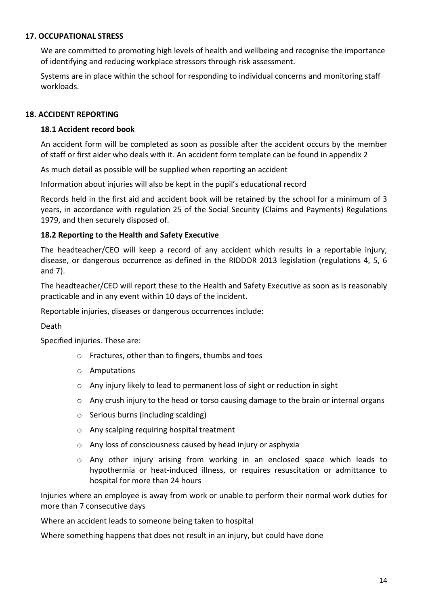# **17. OCCUPATIONAL STRESS**

We are committed to promoting high levels of health and wellbeing and recognise the importance of identifying and reducing workplace stressors through risk assessment.

Systems are in place within the school for responding to individual concerns and monitoring staff workloads.

## **18. ACCIDENT REPORTING**

## **18.1 Accident record book**

An accident form will be completed as soon as possible after the accident occurs by the member of staff or first aider who deals with it. An accident form template can be found in appendix 2

As much detail as possible will be supplied when reporting an accident

Information about injuries will also be kept in the pupil's educational record

Records held in the first aid and accident book will be retained by the school for a minimum of 3 years, in accordance with regulation 25 of the Social Security (Claims and Payments) Regulations 1979, and then securely disposed of.

## **18.2 Reporting to the Health and Safety Executive**

The headteacher/CEO will keep a record of any accident which results in a reportable injury, disease, or dangerous occurrence as defined in the RIDDOR 2013 legislation (regulations 4, 5, 6 and 7).

The headteacher/CEO will report these to the Health and Safety Executive as soon as is reasonably practicable and in any event within 10 days of the incident.

Reportable injuries, diseases or dangerous occurrences include:

Death

Specified injuries. These are:

- o Fractures, other than to fingers, thumbs and toes
- o Amputations
- o Any injury likely to lead to permanent loss of sight or reduction in sight
- $\circ$  Any crush injury to the head or torso causing damage to the brain or internal organs
- o Serious burns (including scalding)
- o Any scalping requiring hospital treatment
- o Any loss of consciousness caused by head injury or asphyxia
- o Any other injury arising from working in an enclosed space which leads to hypothermia or heat-induced illness, or requires resuscitation or admittance to hospital for more than 24 hours

Injuries where an employee is away from work or unable to perform their normal work duties for more than 7 consecutive days

Where an accident leads to someone being taken to hospital

Where something happens that does not result in an injury, but could have done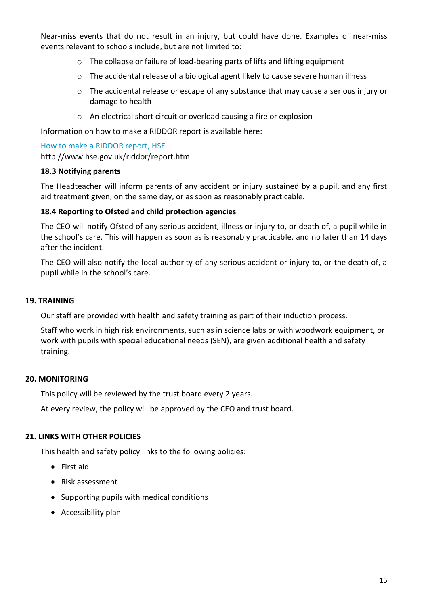Near-miss events that do not result in an injury, but could have done. Examples of near-miss events relevant to schools include, but are not limited to:

- o The collapse or failure of load-bearing parts of lifts and lifting equipment
- $\circ$  The accidental release of a biological agent likely to cause severe human illness
- o The accidental release or escape of any substance that may cause a serious injury or damage to health
- o An electrical short circuit or overload causing a fire or explosion

Information on how to make a RIDDOR report is available here:

[How to make a RIDDOR report, HSE](http://www.hse.gov.uk/riddor/report.htm) http://www.hse.gov.uk/riddor/report.htm

#### **18.3 Notifying parents**

The Headteacher will inform parents of any accident or injury sustained by a pupil, and any first aid treatment given, on the same day, or as soon as reasonably practicable.

#### **18.4 Reporting to Ofsted and child protection agencies**

The CEO will notify Ofsted of any serious accident, illness or injury to, or death of, a pupil while in the school's care. This will happen as soon as is reasonably practicable, and no later than 14 days after the incident.

The CEO will also notify the local authority of any serious accident or injury to, or the death of, a pupil while in the school's care.

#### **19. TRAINING**

Our staff are provided with health and safety training as part of their induction process.

Staff who work in high risk environments, such as in science labs or with woodwork equipment, or work with pupils with special educational needs (SEN), are given additional health and safety training.

#### **20. MONITORING**

This policy will be reviewed by the trust board every 2 years.

At every review, the policy will be approved by the CEO and trust board.

#### **21. LINKS WITH OTHER POLICIES**

This health and safety policy links to the following policies:

- First aid
- Risk assessment
- Supporting pupils with medical conditions
- Accessibility plan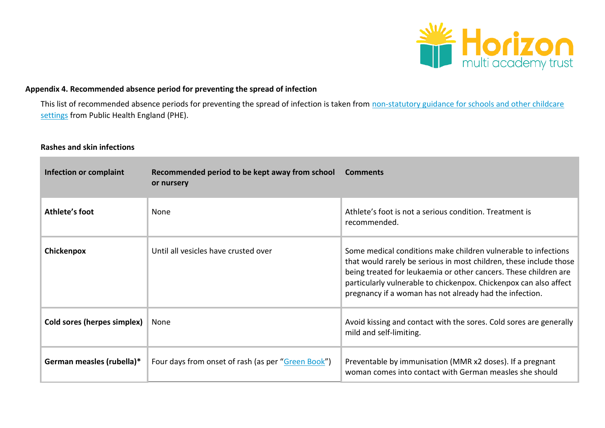

# **Appendix 4. Recommended absence period for preventing the spread of infection**

This list of recommended absence periods for preventing the spread of infection is taken from non-statutory guidance for schools and other childcare [settings](https://www.gov.uk/government/uploads/system/uploads/attachment_data/file/522337/Guidance_on_infection_control_in_schools.pdf) from Public Health England (PHE).

## **Rashes and skin infections**

| Infection or complaint      | Recommended period to be kept away from school<br>or nursery | <b>Comments</b>                                                                                                                                                                                                                                                                                                                          |
|-----------------------------|--------------------------------------------------------------|------------------------------------------------------------------------------------------------------------------------------------------------------------------------------------------------------------------------------------------------------------------------------------------------------------------------------------------|
| Athlete's foot              | None                                                         | Athlete's foot is not a serious condition. Treatment is<br>recommended.                                                                                                                                                                                                                                                                  |
| Chickenpox                  | Until all vesicles have crusted over                         | Some medical conditions make children vulnerable to infections<br>that would rarely be serious in most children, these include those<br>being treated for leukaemia or other cancers. These children are<br>particularly vulnerable to chickenpox. Chickenpox can also affect<br>pregnancy if a woman has not already had the infection. |
| Cold sores (herpes simplex) | None                                                         | Avoid kissing and contact with the sores. Cold sores are generally<br>mild and self-limiting.                                                                                                                                                                                                                                            |
| German measles (rubella)*   | Four days from onset of rash (as per "Green Book")           | Preventable by immunisation (MMR x2 doses). If a pregnant<br>woman comes into contact with German measles she should                                                                                                                                                                                                                     |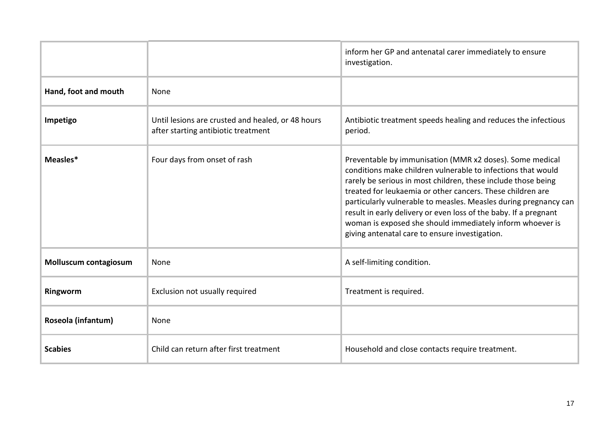|                       |                                                                                          | inform her GP and antenatal carer immediately to ensure<br>investigation.                                                                                                                                                                                                                                                                                                                                                                                                                                      |
|-----------------------|------------------------------------------------------------------------------------------|----------------------------------------------------------------------------------------------------------------------------------------------------------------------------------------------------------------------------------------------------------------------------------------------------------------------------------------------------------------------------------------------------------------------------------------------------------------------------------------------------------------|
| Hand, foot and mouth  | None                                                                                     |                                                                                                                                                                                                                                                                                                                                                                                                                                                                                                                |
| Impetigo              | Until lesions are crusted and healed, or 48 hours<br>after starting antibiotic treatment | Antibiotic treatment speeds healing and reduces the infectious<br>period.                                                                                                                                                                                                                                                                                                                                                                                                                                      |
| Measles*              | Four days from onset of rash                                                             | Preventable by immunisation (MMR x2 doses). Some medical<br>conditions make children vulnerable to infections that would<br>rarely be serious in most children, these include those being<br>treated for leukaemia or other cancers. These children are<br>particularly vulnerable to measles. Measles during pregnancy can<br>result in early delivery or even loss of the baby. If a pregnant<br>woman is exposed she should immediately inform whoever is<br>giving antenatal care to ensure investigation. |
| Molluscum contagiosum | None                                                                                     | A self-limiting condition.                                                                                                                                                                                                                                                                                                                                                                                                                                                                                     |
| Ringworm              | Exclusion not usually required                                                           | Treatment is required.                                                                                                                                                                                                                                                                                                                                                                                                                                                                                         |
| Roseola (infantum)    | None                                                                                     |                                                                                                                                                                                                                                                                                                                                                                                                                                                                                                                |
| <b>Scabies</b>        | Child can return after first treatment                                                   | Household and close contacts require treatment.                                                                                                                                                                                                                                                                                                                                                                                                                                                                |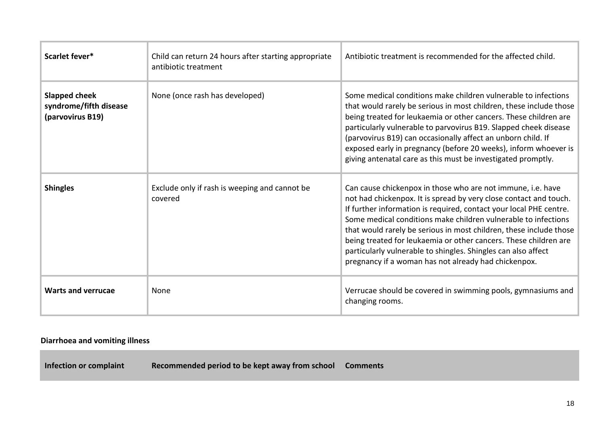| Scarlet fever*                                                     | Child can return 24 hours after starting appropriate<br>antibiotic treatment | Antibiotic treatment is recommended for the affected child.                                                                                                                                                                                                                                                                                                                                                                                                                                                                                 |
|--------------------------------------------------------------------|------------------------------------------------------------------------------|---------------------------------------------------------------------------------------------------------------------------------------------------------------------------------------------------------------------------------------------------------------------------------------------------------------------------------------------------------------------------------------------------------------------------------------------------------------------------------------------------------------------------------------------|
| <b>Slapped cheek</b><br>syndrome/fifth disease<br>(parvovirus B19) | None (once rash has developed)                                               | Some medical conditions make children vulnerable to infections<br>that would rarely be serious in most children, these include those<br>being treated for leukaemia or other cancers. These children are<br>particularly vulnerable to parvovirus B19. Slapped cheek disease<br>(parvovirus B19) can occasionally affect an unborn child. If<br>exposed early in pregnancy (before 20 weeks), inform whoever is<br>giving antenatal care as this must be investigated promptly.                                                             |
| <b>Shingles</b>                                                    | Exclude only if rash is weeping and cannot be<br>covered                     | Can cause chickenpox in those who are not immune, i.e. have<br>not had chickenpox. It is spread by very close contact and touch.<br>If further information is required, contact your local PHE centre.<br>Some medical conditions make children vulnerable to infections<br>that would rarely be serious in most children, these include those<br>being treated for leukaemia or other cancers. These children are<br>particularly vulnerable to shingles. Shingles can also affect<br>pregnancy if a woman has not already had chickenpox. |
| <b>Warts and verrucae</b>                                          | None                                                                         | Verrucae should be covered in swimming pools, gymnasiums and<br>changing rooms.                                                                                                                                                                                                                                                                                                                                                                                                                                                             |

# **Diarrhoea and vomiting illness**

**Infection or complaint Recommended period to be kept away from school Comments**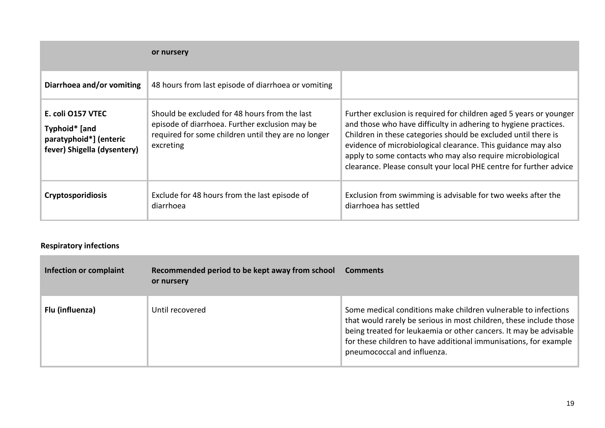|                                                                                             | or nursery                                                                                                                                                          |                                                                                                                                                                                                                                                                                                                                                                                                               |
|---------------------------------------------------------------------------------------------|---------------------------------------------------------------------------------------------------------------------------------------------------------------------|---------------------------------------------------------------------------------------------------------------------------------------------------------------------------------------------------------------------------------------------------------------------------------------------------------------------------------------------------------------------------------------------------------------|
| Diarrhoea and/or vomiting                                                                   | 48 hours from last episode of diarrhoea or vomiting                                                                                                                 |                                                                                                                                                                                                                                                                                                                                                                                                               |
| E. coli 0157 VTEC<br>Typhoid* [and<br>paratyphoid*] (enteric<br>fever) Shigella (dysentery) | Should be excluded for 48 hours from the last<br>episode of diarrhoea. Further exclusion may be<br>required for some children until they are no longer<br>excreting | Further exclusion is required for children aged 5 years or younger<br>and those who have difficulty in adhering to hygiene practices.<br>Children in these categories should be excluded until there is<br>evidence of microbiological clearance. This guidance may also<br>apply to some contacts who may also require microbiological<br>clearance. Please consult your local PHE centre for further advice |
| <b>Cryptosporidiosis</b>                                                                    | Exclude for 48 hours from the last episode of<br>diarrhoea                                                                                                          | Exclusion from swimming is advisable for two weeks after the<br>diarrhoea has settled                                                                                                                                                                                                                                                                                                                         |

# **Respiratory infections**

| Infection or complaint | Recommended period to be kept away from school<br>or nursery | <b>Comments</b>                                                                                                                                                                                                                                                                                              |
|------------------------|--------------------------------------------------------------|--------------------------------------------------------------------------------------------------------------------------------------------------------------------------------------------------------------------------------------------------------------------------------------------------------------|
| Flu (influenza)        | Until recovered                                              | Some medical conditions make children vulnerable to infections<br>that would rarely be serious in most children, these include those<br>being treated for leukaemia or other cancers. It may be advisable<br>for these children to have additional immunisations, for example<br>pneumococcal and influenza. |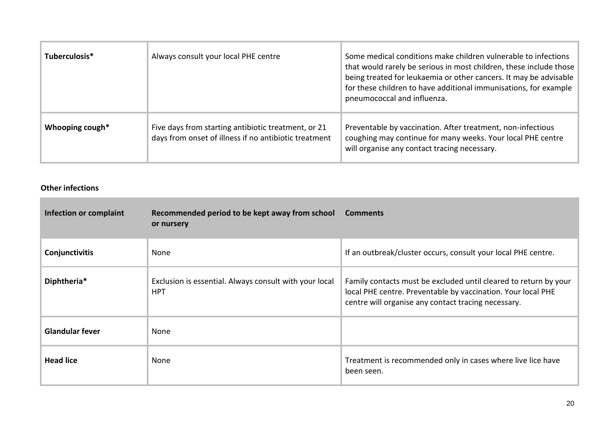| Tuberculosis*   | Always consult your local PHE centre                                                                         | Some medical conditions make children vulnerable to infections<br>that would rarely be serious in most children, these include those<br>being treated for leukaemia or other cancers. It may be advisable<br>for these children to have additional immunisations, for example<br>pneumococcal and influenza. |
|-----------------|--------------------------------------------------------------------------------------------------------------|--------------------------------------------------------------------------------------------------------------------------------------------------------------------------------------------------------------------------------------------------------------------------------------------------------------|
| Whooping cough* | Five days from starting antibiotic treatment, or 21<br>days from onset of illness if no antibiotic treatment | Preventable by vaccination. After treatment, non-infectious<br>coughing may continue for many weeks. Your local PHE centre<br>will organise any contact tracing necessary.                                                                                                                                   |

# **Other infections**

| Infection or complaint | Recommended period to be kept away from school<br>or nursery         | <b>Comments</b>                                                                                                                                                                         |
|------------------------|----------------------------------------------------------------------|-----------------------------------------------------------------------------------------------------------------------------------------------------------------------------------------|
| Conjunctivitis         | None                                                                 | If an outbreak/cluster occurs, consult your local PHE centre.                                                                                                                           |
| Diphtheria*            | Exclusion is essential. Always consult with your local<br><b>HPT</b> | Family contacts must be excluded until cleared to return by your<br>local PHE centre. Preventable by vaccination. Your local PHE<br>centre will organise any contact tracing necessary. |
| <b>Glandular fever</b> | None                                                                 |                                                                                                                                                                                         |
| <b>Head lice</b>       | None                                                                 | Treatment is recommended only in cases where live lice have<br>been seen.                                                                                                               |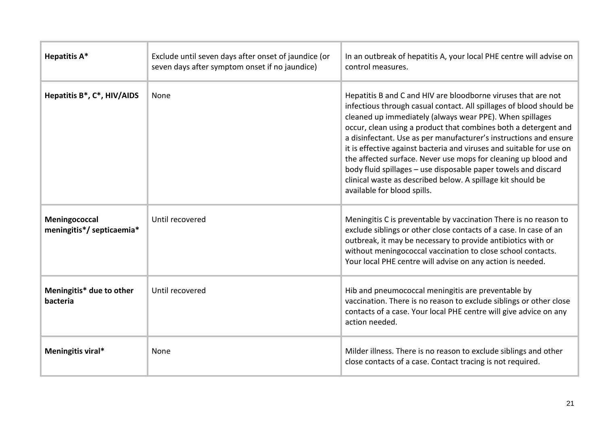| <b>Hepatitis A*</b>                        | Exclude until seven days after onset of jaundice (or<br>seven days after symptom onset if no jaundice) | In an outbreak of hepatitis A, your local PHE centre will advise on<br>control measures.                                                                                                                                                                                                                                                                                                                                                                                                                                                                                                                                                           |
|--------------------------------------------|--------------------------------------------------------------------------------------------------------|----------------------------------------------------------------------------------------------------------------------------------------------------------------------------------------------------------------------------------------------------------------------------------------------------------------------------------------------------------------------------------------------------------------------------------------------------------------------------------------------------------------------------------------------------------------------------------------------------------------------------------------------------|
| Hepatitis B*, C*, HIV/AIDS                 | None                                                                                                   | Hepatitis B and C and HIV are bloodborne viruses that are not<br>infectious through casual contact. All spillages of blood should be<br>cleaned up immediately (always wear PPE). When spillages<br>occur, clean using a product that combines both a detergent and<br>a disinfectant. Use as per manufacturer's instructions and ensure<br>it is effective against bacteria and viruses and suitable for use on<br>the affected surface. Never use mops for cleaning up blood and<br>body fluid spillages - use disposable paper towels and discard<br>clinical waste as described below. A spillage kit should be<br>available for blood spills. |
| Meningococcal<br>meningitis*/ septicaemia* | Until recovered                                                                                        | Meningitis C is preventable by vaccination There is no reason to<br>exclude siblings or other close contacts of a case. In case of an<br>outbreak, it may be necessary to provide antibiotics with or<br>without meningococcal vaccination to close school contacts.<br>Your local PHE centre will advise on any action is needed.                                                                                                                                                                                                                                                                                                                 |
| Meningitis* due to other<br>bacteria       | Until recovered                                                                                        | Hib and pneumococcal meningitis are preventable by<br>vaccination. There is no reason to exclude siblings or other close<br>contacts of a case. Your local PHE centre will give advice on any<br>action needed.                                                                                                                                                                                                                                                                                                                                                                                                                                    |
| Meningitis viral*                          | None                                                                                                   | Milder illness. There is no reason to exclude siblings and other<br>close contacts of a case. Contact tracing is not required.                                                                                                                                                                                                                                                                                                                                                                                                                                                                                                                     |